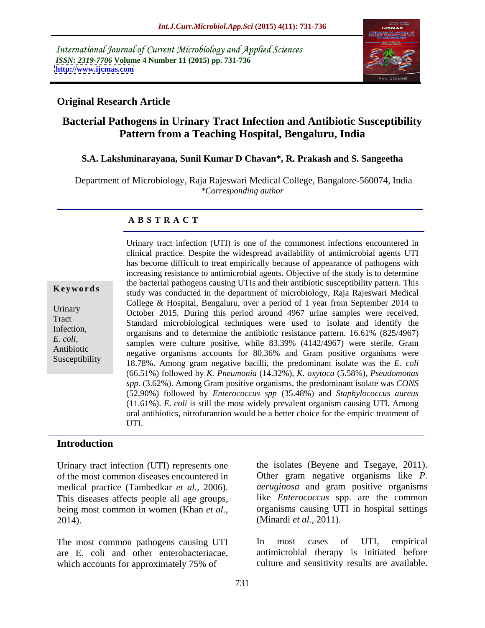International Journal of Current Microbiology and Applied Sciences *ISSN: 2319-7706* **Volume 4 Number 11 (2015) pp. 731-736 <http://www.ijcmas.com>**



### **Original Research Article**

# **Bacterial Pathogens in Urinary Tract Infection and Antibiotic Susceptibility Pattern from a Teaching Hospital, Bengaluru, India**

### **S.A. Lakshminarayana, Sunil Kumar D Chavan\*, R. Prakash and S. Sangeetha**

 Department of Microbiology, Raja Rajeswari Medical College, Bangalore-560074, India *\*Corresponding author*

### **A B S T R A C T**

Susceptibility

Urinary tract infection (UTI) is one of the commonest infections encountered in clinical practice. Despite the widespread availability of antimicrobial agents UTI has become difficult to treat empirically because of appearance of pathogens with increasing resistance to antimicrobial agents. Objective of the study is to determine the bacterial pathogens causing UTIs and their antibiotic susceptibility pattern. This study was conducted in the department of microbiology, Raja Rajeswari Medical **Ke ywo rds** College & Hospital, Bengaluru, over a period of 1 year from September 2014 to Urinary  $October 2015$ . During this period around 4967 urine samples were received. Standard microbiological techniques were used to isolate and identify the Tract Infection,<br>
organisms and to determine the antibiotic resistance pattern. 16.61% (825/4967) E. coli,<br>
samples were culture positive, while 83.39% (4142/4967) were sterile. Gram Antibiotic<br>
negative organisms accounts for 80.36% and Gram positive organisms were 18.78%. Among gram negative bacilli, the predominant isolate was the *E. coli* (66.51%) followed by *K. Pneumonia* (14.32%), *K. oxytoca* (5.58%), *Pseudomonas spp.* (3.62%). Among Gram positive organisms, the predominant isolate was *CONS* (52.90%) followed by *Enterococcus spp* (35.48%) and *Staphylococcus aureus* (11.61%). *E. coli* is still the most widely prevalent organism causing UTI*.* Among oral antibiotics, nitrofurantion would be a better choice for the empiric treatment of UTI.

### **Introduction**

Urinary tract infection (UTI) represents one of the most common diseases encountered in This diseases affects people all age groups, being most common in women (Khan *et al.,* 2014). (Minardi *et al.,* 2011).

are E. coli and other enterobacteriacae, which accounts for approximately 75% of

medical practice (Tambedkar *et al.,* 2006). *aeruginosa* and gram positive organisms the isolates (Beyene and Tsegaye, 2011). Other gram negative organisms like *P.*  like *Enterococcus* spp. are the common organisms causing UTI in hospital settings

The most common pathogens causing UTI In most cases of UTI, empirical In most cases of UTI, empirical antimicrobial therapy is initiated before culture and sensitivity results are available.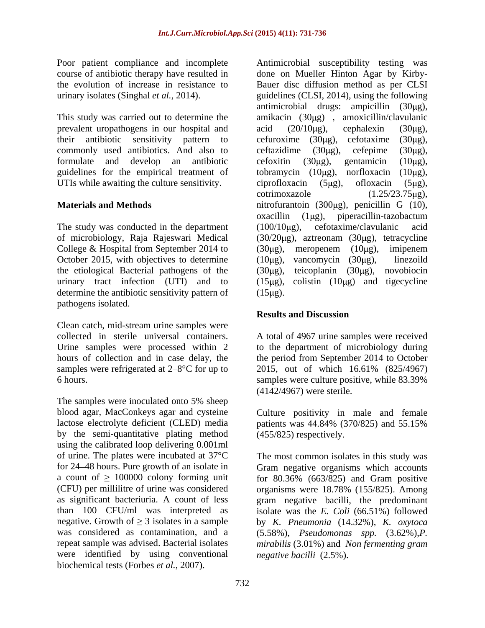Poor patient compliance and incomplete Antimicrobial susceptibility testing was course of antibiotic therapy have resulted in

prevalent uropathogens in our hospital and  $\alpha$  acid (20/10 $\mu$ g), cephalexin (30 $\mu$ g), commonly used antibiotics. And also to certazidime  $(30\mu g)$ , certepime  $(30\mu g)$ , guidelines for the empirical treatment of tobramycin  $(10\mu g)$ , norfloxacin  $(10\mu g)$ , UTIs while awaiting the culture sensitivity.  $\qquad \qquad$  ciprofloxacin (5µg), ofloxacin (5µg),

The study was conducted in the department  $(100/10\mu g)$ , cefotaxime/clavulanic acid College & Hospital from September 2014 to  $(30\mu g)$ , meropenem  $(10\mu g)$ , imipenem October 2015, with objectives to determine  $(10\mu g)$ , vancomycin  $(30\mu g)$ , linezoild the etiological Bacterial pathogens of the  $(30\mu g)$ , determine the antibiotic sensitivity pattern of (15µg). pathogens isolated.

Clean catch, mid-stream urine samples were collected in sterile universal containers. A total of 4967 urine samples were received Urine samples were processed within 2 to the department of microbiology during hours of collection and in case delay, the the period from September 2014 to October samples were refrigerated at  $2-8$ °C for up to  $2015$ , out of which  $16.61\%$  (825/4967) 6 hours. Samples were culture positive, while 83.39%

The samples were inoculated onto 5% sheep blood agar, MacConkeys agar and cysteine Culture positivity in male and female lactose electrolyte deficient (CLED) media patients was 44.84% (370/825) and 55.15% by the semi-quantitative plating method using the calibrated loop delivering 0.001ml were identified by using conventional biochemical tests (Forbes *et al.,* 2007).

the evolution of increase in resistance to Bauer disc diffusion method as per CLSI urinary isolates (Singhal *et al.,* 2014). guidelines (CLSI, 2014), using the following This study was carried out to determine the amikacin (30µg), amoxicillin/clavulanic their antibiotic sensitivity pattern to cefuroxime (30µg), cefotaxime (30µg), formulate and develop an antibiotic **Materials and Methods hitrofurantoin** (300μg), penicillin G (10), of microbiology, Raja Rajeswari Medical (30/20μg), aztreonam (30μg), tetracycline urinary tract infection (UTI) and to  $(15\mu g)$ , colistin  $(10\mu g)$  and tigecycline done on Mueller Hinton Agar by Kirby antimicrobial drugs: ampicillin  $(30\mu g)$ , acid  $(20/10 \mu g)$ , cephalexin  $(30 \mu g)$ , ceftazidime  $(30\mu g)$ , cefepime  $(30\mu g)$ , cefoxitin  $(30\mu g)$ , gentamicin  $(10\mu g)$ , tobramycin  $(10\mu g)$ , norfloxacin ciprofloxacin (5µg), ofloxacin (5µg),  $\text{cotrimoxazole}$  (1.25/23.75 $\mu$ g),  $oxacillin$  (1 $\mu$ g), piperacillin-tazobactum  $(100/10 \mu g)$ , cefotaxime/clavulanic acid  $(30\mu g)$ , meropenem  $(10\mu g)$ , imipenem  $(10\mu g)$ , vancomycin  $(30\mu g)$ , linezoild teicoplanin  $(30\mu g)$ , novobiocin  $(15 \mu g)$ .

## **Results and Discussion**

samples were culture positive, while 83.39% (4142/4967) were sterile.

patients was 44.84% (370/825) and 55.15% (455/825) respectively.

of urine. The plates were incubated at 37°C The most common isolatesin this study was for 24 48 hours. Pure growth of an isolate in Gram negative organisms which accounts a count of  $\geq 100000$  colony forming unit for 80.36% (663/825) and Gram positive (CFU) per millilitre of urine was considered organisms were 18.78% (155/825). Among as significant bacteriuria. A count of less gram negative bacilli, the predominant than 100 CFU/ml was interpreted as isolate was the *E. Coli* (66.51%) followed negative. Growth of  $\geq 3$  isolates in a sample by *K. Pneumonia* (14.32%), *K. oxytoca* was considered as contamination, and a (5.58%), *Pseudomonas spp.* (3.62%),*P.*  repeat sample was advised. Bacterial isolates *mirabilis* (3.01%) and *Non fermenting gram negative bacilli* (2.5%).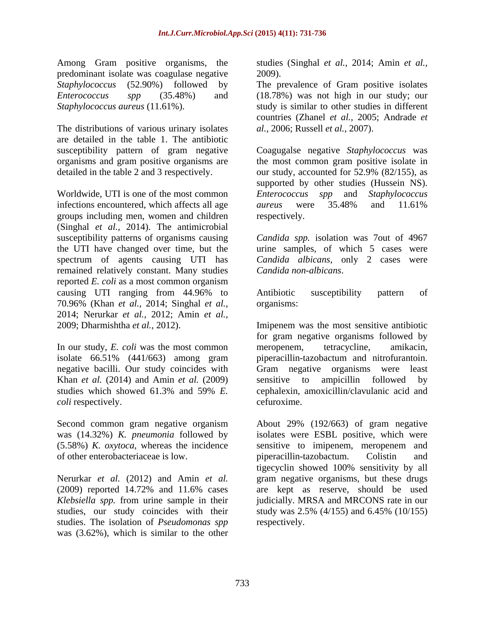Among Gram positive organisms, the studies (Singhal *et al.,* 2014; Amin *et al.,* predominant isolate was coagulase negative *Staphylococcus* (52.90%) followed by The prevalence of Gram positive isolates *Enterococcus spp* (35.48%) and (18.78%) was not high in our study; our

The distributions of various urinary isolates are detailed in the table 1. The antibiotic susceptibility pattern of gram negative

Worldwide, UTI is one of the most common *Enterococcus spp* and *Staphylococcus*  infections encountered, which affects all age aureus were 35.48% and 11.61% groups including men, women and children (Singhal *et al.,* 2014). The antimicrobial susceptibility patterns of organisms causing *Candida spp.* isolation was 7out of 4967 the UTI have changed over time, but the urine samples, of which 5 cases were spectrum of agents causing UTI has *Candida albicans*, only 2 cases were remained relatively constant. Many studies reported *E. coli* as a most common organism causing UTI ranging from 44.96% to 70.96% (Khan *et al.,* 2014; Singhal *et al.,* 2014; Nerurkar *et al.,* 2012; Amin *et al.,* 2009; Dharmishtha *et al.,* 2012). Imipenem was the most sensitive antibiotic

negative bacilli. Our study coincides with Gram negative organisms were least Khan *et al.* (2014) and Amin *et al.* (2009) *coli* respectively.  $\blacksquare$ 

was (14.32%) *K. pneumonia* followed by of other enterobacteriaceae is low. piperacillin-tazobactum. Colistin and

studies, our study coincides with their study was 2.5% (4/155) and 6.45% (10/155) studies. The isolation of *Pseudomonas spp* was (3.62%), which is similar to the other

2009).

*Staphylococcus aureus* (11.61%). study is similar to other studies in different countries (Zhanel *et al.,* 2005; Andrade *et al.,* 2006; Russell *et al.,* 2007).

organisms and gram positive organisms are the most common gram positive isolate in detailed in the table 2 and 3 respectively. our study, accounted for 52.9% (82/155), as Coagugalse negative *Staphylococcus* was supported by other studies (Hussein NS). *aureus* were 35.48% and 11.61% respectively.

*Candida non-albicans*.

Antibiotic susceptibility pattern of organisms:

In our study, *E. coli* was the most common meropenem, tetracycline, amikacin, isolate 66.51% (441/663) among gram piperacillin-tazobactum and nitrofurantoin. studies which showed 61.3% and 59% *E.*  for gram negative organisms followed by meropenem, tetracycline, amikacin, Gram negative organisms were least sensitive to ampicillin followed by cephalexin, amoxicillin/clavulanic acid and cefuroxime.

Second common gram negative organism About 29% (192/663) of gram negative (5.58%) *K. oxytoca*, whereas the incidence sensitive to imipenem, meropenem and Nerurkar *et al.* (2012) and Amin *et al.* gram negative organisms, but these drugs (2009) reported 14.72% and 11.6% cases *Klebsiella spp.* from urine sample in their judicially. MRSA and MRCONS rate in our isolates were ESBL positive, which were piperacillin-tazobactum. Colistin and tigecyclin showed 100% sensitivity by all are kept as reserve, should be used study was 2.5% (4/155) and 6.45% (10/155) respectively.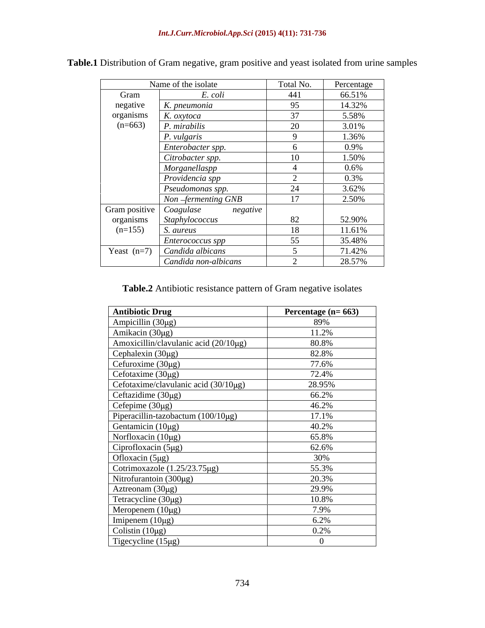|                           | Name of the isolate                                                  | Total No.                 | Percentage |
|---------------------------|----------------------------------------------------------------------|---------------------------|------------|
| Gram                      | E. coli                                                              | 441                       | 66.51%     |
| negative                  | K. pneumonia                                                         | 95                        | 14.32%     |
| organisms                 | K. oxytoca                                                           | $\sim$                    | 5.58%      |
| $(n=663)$                 | P. mirabilis                                                         | 20                        | 3.01%      |
|                           | P. vulgaris                                                          |                           | 1.36%      |
|                           | Enterobacter spp.                                                    |                           | 0.9%       |
|                           | Citrobacter spp.                                                     | 10                        | 1.50%      |
|                           | Morganellaspp                                                        |                           | $0.6\%$    |
|                           | Providencia spp                                                      |                           | 0.3%       |
|                           | Pseudomonas spp.                                                     | $\bigcap_{i=1}^n$<br>- 44 | 3.62%      |
|                           | Non-fermenting GNB                                                   | 17                        | 2.50%      |
| Gram positive   Coagulase | negative                                                             |                           |            |
| organisms                 | Staphylococcus                                                       | 82                        | 52.90%     |
| $(n=155)$                 | S. aureus                                                            | 18                        | 11.61%     |
|                           | <i>Enterococcus spp</i>                                              | 55                        | 35.48%     |
|                           | $\sqrt{\text{Year}}$ (n=7) $\sqrt{\text{C}}$ <i>Candida albicans</i> |                           | 71.42%     |
|                           | Candida non-albicans                                                 |                           | 28.57%     |

**Table.1** Distribution of Gram negative, gram positive and yeast isolated from urine samples

**Table.2** Antibiotic resistance pattern of Gram negative isolates

| <b>Antibiotic Drug</b>                     | Percentage $(n=663)$ |
|--------------------------------------------|----------------------|
| Ampicillin $(30\mu g)$                     | 89%                  |
| Amikacin (30µg)                            | 11.2%                |
| Amoxicillin/clavulanic acid $(20/10\mu g)$ | 80.8%                |
| Cephalexin (30µg)                          | 82.8%                |
| Cefuroxime (30µg)                          | 77.6%                |
| Cefotaxime (30µg)                          | 72.4%                |
| Cefotaxime/clavulanic acid (30/10µg)       | 28.95%               |
| Ceftazidime (30µg)                         | 66.2%                |
| Cefepime $(30\mu g)$                       | 46.2%                |
| Piperacillin-tazobactum (100/10µg)         | 17.1%                |
| Gentamicin (10µg)                          | 40.2%                |
| Norfloxacin $(10\mu g)$                    | 65.8%                |
| Ciprofloxacin (5µg)                        | 62.6%                |
| Ofloxacin (5µg)                            | 30%                  |
| Cotrimoxazole $(1.25/23.75\mu g)$          | 55.3%                |
| Nitrofurantoin $(300\mu g)$                | 20.3%                |
| Aztreonam $(30\mu g)$                      | 29.9%                |
| Tetracycline (30µg)                        | 10.8%                |
| Meropenem $(10\mu g)$                      | 7.9%                 |
| Imipenem $(10\mu g)$                       | 6.2%                 |
| Colistin $(10\mu g)$                       | 0.2%                 |
| Tigecycline $(15 \mu g)$                   |                      |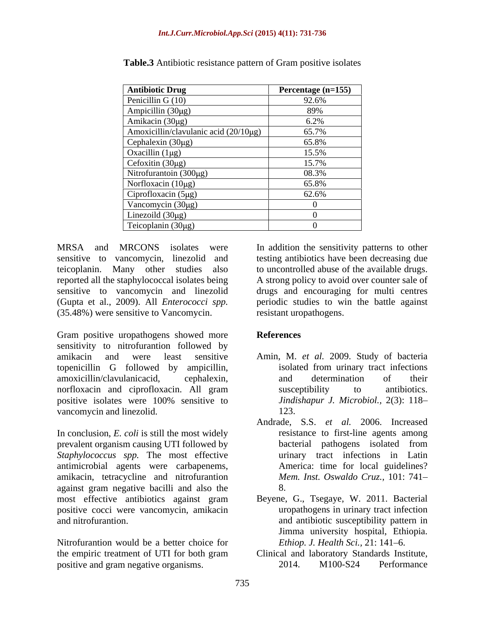| <b>Antibiotic Drug</b>                | Percentage (n=155) |
|---------------------------------------|--------------------|
| Penicillin G (10)                     | 92.6%              |
| Ampicillin (30μg)<br>Amikacin (30μg)  | 89%                |
|                                       | 6.2%               |
| Amoxicillin/clavulanic acid (20/10µg) | 65.7%              |
| Cephalexin $(30\mu g)$                | 65.8%              |
| Oxacillin $(1\mu g)$                  | 15.5%              |
| Cefoxitin (30µg)                      | 15.7%              |
| Nitrofurantoin (300µg)                | 08.3%              |
| Norfloxacin (10µg)                    | 65.8%              |
| Ciprofloxacin $(5\mu g)$              | 62.6%              |
| Vancomycin (30µg)                     |                    |
| Linezoild $(30\mu g)$                 |                    |
| Teicoplanin (30µg)                    |                    |

**Table.3** Antibiotic resistance pattern of Gram positive isolates

(Gupta et al., 2009).All *Enterococci spp.* (35.48%) were sensitive to Vancomycin.

Gram positive uropathogens showed more References sensitivity to nitrofurantion followed by amikacin and were least sensitive Amin, M. *et al.* 2009. Study of bacteria topenicillin G followed by ampicillin, amoxicillin/clavulanicacid, cephalexin, and determination of their norfloxacin and ciprofloxacin. All gram susceptibility to antibiotics. positive isolates were 100% sensitive to *Jindishapur J. Microbiol.,* 2(3): 118 vancomycin and linezolid. 123.

In conclusion, *E. coli* is still the most widely prevalent organism causing UTI followed by *Staphylococcus spp.* The most effective antimicrobial agents were carbapenems, amikacin, tetracycline and nitrofurantion against gram negative bacilli and also the most effective antibiotics against gram positive cocci were vancomycin, amikacin

Nitrofurantion would be a better choice for the empiric treatment of UTI for both gram positive and gram negative organisms. 2014. M100-S24 Performance

MRSA and MRCONS isolates were In addition the sensitivity patterns to other sensitive to vancomycin, linezolid and testing antibiotics have been decreasing due teicoplanin. Many other studies also to uncontrolled abuse of the available drugs. reported all the staphylococcal isolates being A strong policy to avoid over counter sale of sensitive to vancomycin and linezolid drugs and encouraging for multi centres periodic studies to win the battle against resistant uropathogens.

## **References**

- isolated from urinary tract infections and determination of their susceptibility to antibiotics. 123.
- Andrade, S.S. *et al.* 2006. Increased resistance to first-line agents among bacterial pathogens isolated from urinary tract infections in Latin America: time for local guidelines? *Mem. Inst. Oswaldo Cruz.,* 101: 741 8.
- and nitrofurantion. and antibiotic susceptibility pattern in Beyene, G., Tsegaye, W. 2011. Bacterial uropathogens in urinary tract infection Jimma university hospital, Ethiopia. *Ethiop. J. Health Sci., 21: 141-6.* 
	- Clinical and laboratory Standards Institute, 2014. M100-S24 Performance